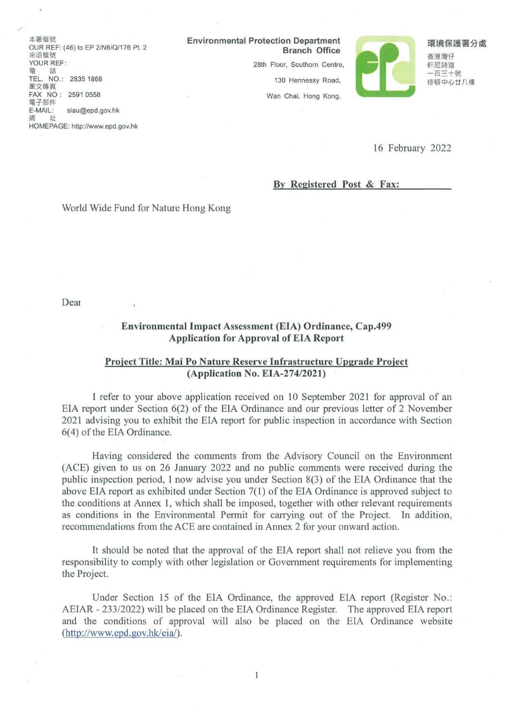木塞機器 OUR REF: (46) to EP 2/N61QJ176 Pt. 2 來函檔懿 YOUR REF 28th Floor, Southorn Centre, 軒尼請造 YOUR REF: TEL. NO.: 28351868 圖文傳直 FAX NO: 2591 0558 電子鄧件 E-MAIL: slau@epd.gov.hk<br>網 址

HOMEPAGE: http://www.epd.gov.hk

Environmental Protection Department

130 Hennessy Road, Wan Chai, Hong Kong.



香港灣仔

一百三十號 修頓中心廿八樓

16 February 2022

#### By Registered Post & Fax:

### World Wide Fund for Nature Hong Kong

Dear

## Environmental Impact Assessment (EIA) Ordinance, Cap.499 Application for Approval of EIA Report

### Project Title: Mai Po Nature Reserve Infrastructure Upgrade Project (Application No. EIA-274/2021)

1 refer to your above application received on 10 September 2021 for approval of an EIA report under Section 6(2) of the EIA Ordinance and our previous letter of 2 November 2021 advising you to exhibit the ElA report for public inspection in accordance with Section 6(4) of the EIA Ordinance.

Having considered the comments from the Advisory Council on the Environment (ACE) given to us on 26 January 2022 and no public comments were received during the public inspection period, 1 now advise you under Section 8(3) of the EIA Ordinance that the above EIA report as exhibited under Section 7(1) of the EIA Ordinance is approved subject to the conditions at Annex 1, which shall be imposed, together with other relevant requirements as conditions in the Environmental Permit for carrying out of the Project. In addition, recommendations from the ACE are contained in Annex 2 for your onward action.

It should be noted that the approval of the EIA report shall not relieve you from the responsibility to comply with other legislation or Govemment requirements for implementing the Project.

Under Section 15 of the EIA Ordinance, the approved EIA report (Register No.: AEIAR - 233/2022) will be placed on the EIA Ordinance Register. The approved EIA report and the conditions of approval wi1l also be placed on the EIA Ordinance website  $(http://www.epd.gov.hk/eia').$ 

 $\mathbf{1}$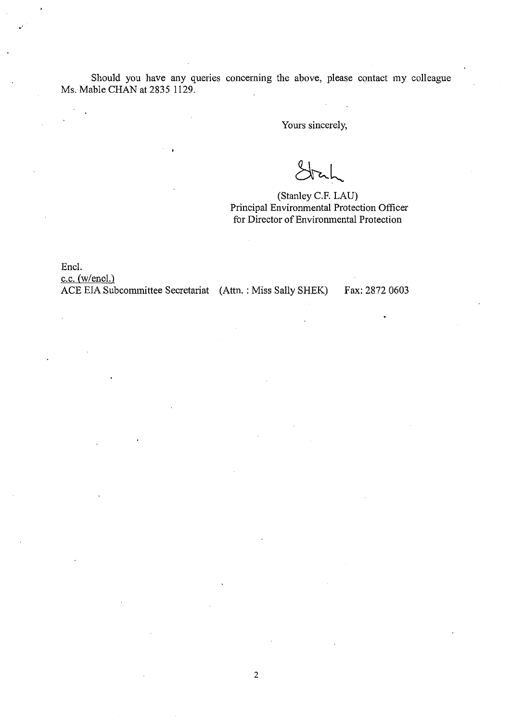Should you have any queries concerning the above, please contact my colleague Ms. Mable CHAN at 2835 1129.

Yours sincerely,

(Stanley C.F. LAU) Principal Environmental Protection Officer for Director of Environmental Protection

Encl.

 $c.c.$  (w/encl.) ACE EIA Subcommittee Secretariat (Attn.: Miss Sally SHEK)

Fax: 2872 0603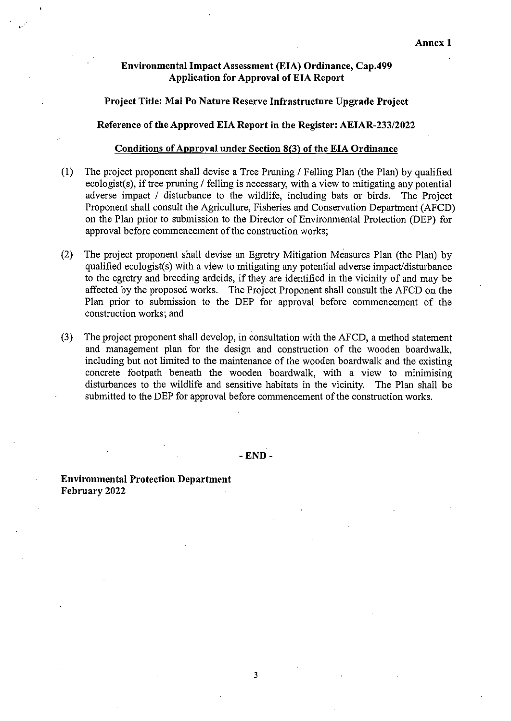### Environmental Impact Assessment (EIA) Ordinance, Cap.499 Application for Approval of EIA Report

# Project Title: Mai PO Nature Reserve Infrastructure Upgrade Project

Reference of the Approved EIA Report in the Register: AEIAR-233/2022

#### Conditions of Approval under Section 8(3) of the EIA Ordinance

- (1) The project proponent shal1 devise a Tree Pruning / FeJling Plan (the Plan) by qualified  $ecologist(s)$ , if tree pruning / felling is necessary, with a view to mitigating any potential adverse impact / disturbance to the wildlife, including bats or birds. The Project Proponent shall consult the Agriculture, Fisheries and Conservation Department (AFCD) on the Plan prior to submission to the Director of Environmental Protection (DEP) for approval before commencement of the construction works;
- (2) The project proponent shall devise an Egretry Mitigation Measures Plan (the Plan) by qualified ecologist(s) with a view to mitigating any potential adverse impact/disturbance to the egretry and breeding ardeids, if they are identified in the vicinity of and may be affected by the proposed works. The Project Proponent shal1 consult the AFCD on the Plan prior to submission to the DEP for approval before commencement of the construction works; and
- (3) The project proponent shal1 develop, in consultation with the AFCD, a method statement and management plan for the design and construction of the wooden boardwalk, including but not limited to the maintenance of the wooden boardwalk and the existing concrete footpath beneath the wooden boardwalk, with a view to minimising disturbances to the wildlife and sensitive habitats in the vicinity. The Plan shal1 be submitted to the DEP for approval before commencement of the construction works.

-END-

Environmental Protection Department February 2022

3